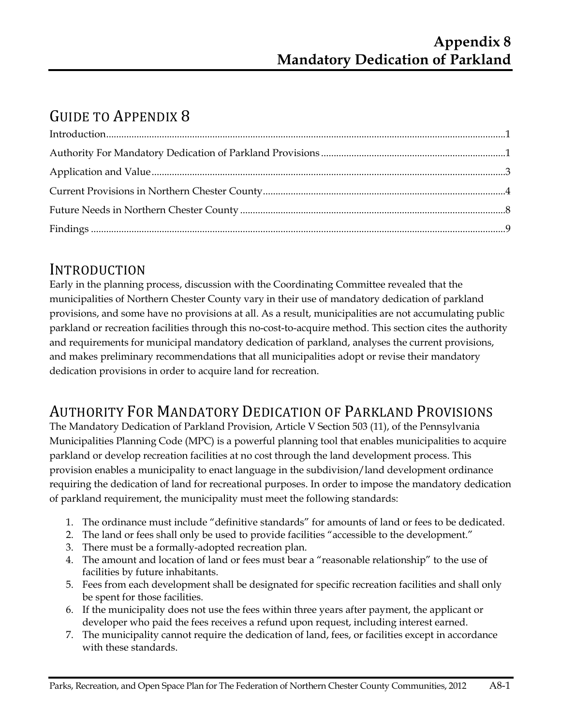# GUIDE TO APPENDIX 8

#### INTRODUCTION

Early in the planning process, discussion with the Coordinating Committee revealed that the municipalities of Northern Chester County vary in their use of mandatory dedication of parkland provisions, and some have no provisions at all. As a result, municipalities are not accumulating public parkland or recreation facilities through this no-cost-to-acquire method. This section cites the authority and requirements for municipal mandatory dedication of parkland, analyses the current provisions, and makes preliminary recommendations that all municipalities adopt or revise their mandatory dedication provisions in order to acquire land for recreation.

## AUTHORITY FOR MANDATORY DEDICATION OF PARKLAND PROVISIONS

The Mandatory Dedication of Parkland Provision, Article V Section 503 (11), of the Pennsylvania Municipalities Planning Code (MPC) is a powerful planning tool that enables municipalities to acquire parkland or develop recreation facilities at no cost through the land development process. This provision enables a municipality to enact language in the subdivision/land development ordinance requiring the dedication of land for recreational purposes. In order to impose the mandatory dedication of parkland requirement, the municipality must meet the following standards:

- 1. The ordinance must include "definitive standards" for amounts of land or fees to be dedicated.
- 2. The land or fees shall only be used to provide facilities "accessible to the development."
- 3. There must be a formally-adopted recreation plan.
- 4. The amount and location of land or fees must bear a "reasonable relationship" to the use of facilities by future inhabitants.
- 5. Fees from each development shall be designated for specific recreation facilities and shall only be spent for those facilities.
- 6. If the municipality does not use the fees within three years after payment, the applicant or developer who paid the fees receives a refund upon request, including interest earned.
- 7. The municipality cannot require the dedication of land, fees, or facilities except in accordance with these standards.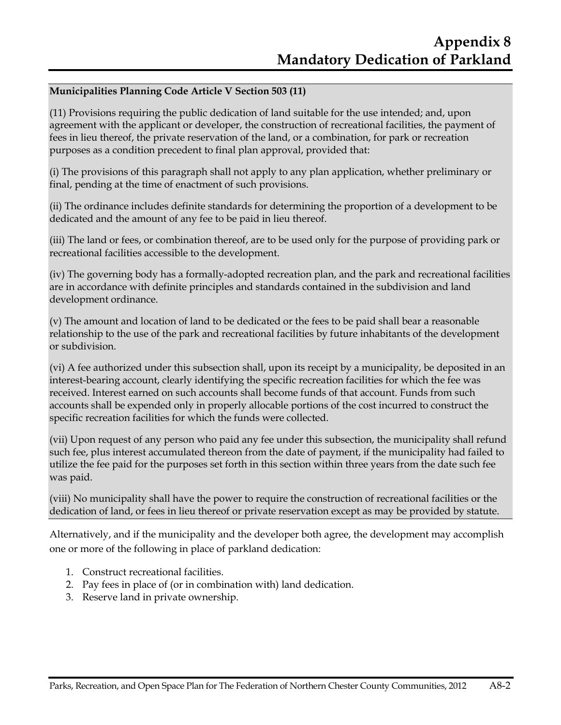#### **Municipalities Planning Code Article V Section 503 (11)**

(11) Provisions requiring the public dedication of land suitable for the use intended; and, upon agreement with the applicant or developer, the construction of recreational facilities, the payment of fees in lieu thereof, the private reservation of the land, or a combination, for park or recreation purposes as a condition precedent to final plan approval, provided that:

(i) The provisions of this paragraph shall not apply to any plan application, whether preliminary or final, pending at the time of enactment of such provisions.

(ii) The ordinance includes definite standards for determining the proportion of a development to be dedicated and the amount of any fee to be paid in lieu thereof.

(iii) The land or fees, or combination thereof, are to be used only for the purpose of providing park or recreational facilities accessible to the development.

(iv) The governing body has a formally-adopted recreation plan, and the park and recreational facilities are in accordance with definite principles and standards contained in the subdivision and land development ordinance.

(v) The amount and location of land to be dedicated or the fees to be paid shall bear a reasonable relationship to the use of the park and recreational facilities by future inhabitants of the development or subdivision.

(vi) A fee authorized under this subsection shall, upon its receipt by a municipality, be deposited in an interest-bearing account, clearly identifying the specific recreation facilities for which the fee was received. Interest earned on such accounts shall become funds of that account. Funds from such accounts shall be expended only in properly allocable portions of the cost incurred to construct the specific recreation facilities for which the funds were collected.

(vii) Upon request of any person who paid any fee under this subsection, the municipality shall refund such fee, plus interest accumulated thereon from the date of payment, if the municipality had failed to utilize the fee paid for the purposes set forth in this section within three years from the date such fee was paid.

(viii) No municipality shall have the power to require the construction of recreational facilities or the dedication of land, or fees in lieu thereof or private reservation except as may be provided by statute.

Alternatively, and if the municipality and the developer both agree, the development may accomplish one or more of the following in place of parkland dedication:

- 1. Construct recreational facilities.
- 2. Pay fees in place of (or in combination with) land dedication.
- 3. Reserve land in private ownership.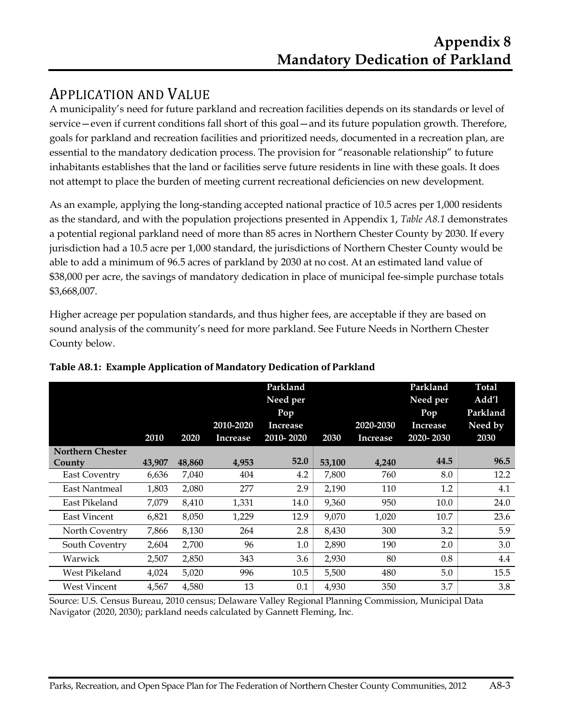## APPLICATION AND VALUE

A municipality's need for future parkland and recreation facilities depends on its standards or level of service—even if current conditions fall short of this goal—and its future population growth. Therefore, goals for parkland and recreation facilities and prioritized needs, documented in a recreation plan, are essential to the mandatory dedication process. The provision for "reasonable relationship" to future inhabitants establishes that the land or facilities serve future residents in line with these goals. It does not attempt to place the burden of meeting current recreational deficiencies on new development.

As an example, applying the long-standing accepted national practice of 10.5 acres per 1,000 residents as the standard, and with the population projections presented in Appendix 1, *Table A8.1* demonstrates a potential regional parkland need of more than 85 acres in Northern Chester County by 2030. If every jurisdiction had a 10.5 acre per 1,000 standard, the jurisdictions of Northern Chester County would be able to add a minimum of 96.5 acres of parkland by 2030 at no cost. At an estimated land value of \$38,000 per acre, the savings of mandatory dedication in place of municipal fee-simple purchase totals \$3,668,007.

Higher acreage per population standards, and thus higher fees, are acceptable if they are based on sound analysis of the community's need for more parkland. See Future Needs in Northern Chester County below.

|                         | 2010   | 2020   | 2010-2020<br>Increase | Parkland<br>Need per<br>Pop<br><b>Increase</b><br>2010-2020 | 2030   | 2020-2030<br><b>Increase</b> | Parkland<br>Need per<br>Pop<br>Increase<br>2020-2030 | <b>Total</b><br>Add'l<br>Parkland<br>Need by<br>2030 |
|-------------------------|--------|--------|-----------------------|-------------------------------------------------------------|--------|------------------------------|------------------------------------------------------|------------------------------------------------------|
| <b>Northern Chester</b> |        |        |                       |                                                             |        |                              |                                                      |                                                      |
| County                  | 43,907 | 48,860 | 4,953                 | 52.0                                                        | 53,100 | 4,240                        | 44.5                                                 | 96.5                                                 |
| <b>East Coventry</b>    | 6,636  | 7,040  | 404                   | 4.2                                                         | 7,800  | 760                          | 8.0                                                  | 12.2                                                 |
| East Nantmeal           | 1,803  | 2,080  | 277                   | 2.9                                                         | 2,190  | 110                          | 1.2                                                  | 4.1                                                  |
| East Pikeland           | 7,079  | 8,410  | 1,331                 | 14.0                                                        | 9,360  | 950                          | 10.0                                                 | 24.0                                                 |
| <b>East Vincent</b>     | 6.821  | 8,050  | 1,229                 | 12.9                                                        | 9.070  | 1.020                        | 10.7                                                 | 23.6                                                 |
| North Coventry          | 7,866  | 8,130  | 264                   | 2.8                                                         | 8,430  | 300                          | 3.2                                                  | 5.9                                                  |
| South Coventry          | 2,604  | 2,700  | 96                    | 1.0                                                         | 2,890  | 190                          | 2.0                                                  | 3.0                                                  |
| Warwick                 | 2,507  | 2,850  | 343                   | 3.6                                                         | 2,930  | 80                           | 0.8                                                  | 4.4                                                  |
| West Pikeland           | 4,024  | 5,020  | 996                   | 10.5                                                        | 5,500  | 480                          | 5.0                                                  | 15.5                                                 |
| <b>West Vincent</b>     | 4,567  | 4,580  | 13                    | 0.1                                                         | 4,930  | 350                          | 3.7                                                  | 3.8                                                  |

**Table A8.1: Example Application of Mandatory Dedication of Parkland**

Source: U.S. Census Bureau, 2010 census; Delaware Valley Regional Planning Commission, Municipal Data Navigator (2020, 2030); parkland needs calculated by Gannett Fleming, Inc.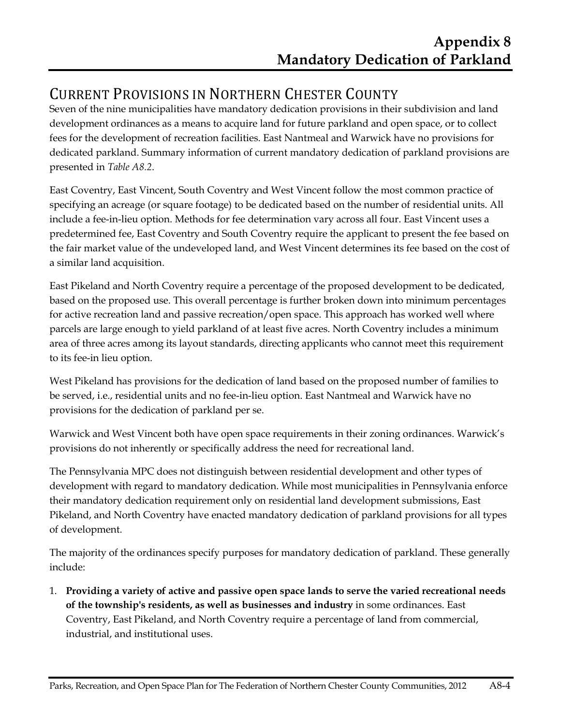## CURRENT PROVISIONS IN NORTHERN CHESTER COUNTY

Seven of the nine municipalities have mandatory dedication provisions in their subdivision and land development ordinances as a means to acquire land for future parkland and open space, or to collect fees for the development of recreation facilities. East Nantmeal and Warwick have no provisions for dedicated parkland. Summary information of current mandatory dedication of parkland provisions are presented in *Table A8.2*.

East Coventry, East Vincent, South Coventry and West Vincent follow the most common practice of specifying an acreage (or square footage) to be dedicated based on the number of residential units. All include a fee-in-lieu option. Methods for fee determination vary across all four. East Vincent uses a predetermined fee, East Coventry and South Coventry require the applicant to present the fee based on the fair market value of the undeveloped land, and West Vincent determines its fee based on the cost of a similar land acquisition.

East Pikeland and North Coventry require a percentage of the proposed development to be dedicated, based on the proposed use. This overall percentage is further broken down into minimum percentages for active recreation land and passive recreation/open space. This approach has worked well where parcels are large enough to yield parkland of at least five acres. North Coventry includes a minimum area of three acres among its layout standards, directing applicants who cannot meet this requirement to its fee-in lieu option.

West Pikeland has provisions for the dedication of land based on the proposed number of families to be served, i.e., residential units and no fee-in-lieu option. East Nantmeal and Warwick have no provisions for the dedication of parkland per se.

Warwick and West Vincent both have open space requirements in their zoning ordinances. Warwick's provisions do not inherently or specifically address the need for recreational land.

The Pennsylvania MPC does not distinguish between residential development and other types of development with regard to mandatory dedication. While most municipalities in Pennsylvania enforce their mandatory dedication requirement only on residential land development submissions, East Pikeland, and North Coventry have enacted mandatory dedication of parkland provisions for all types of development.

The majority of the ordinances specify purposes for mandatory dedication of parkland. These generally include:

1. **Providing a variety of active and passive open space lands to serve the varied recreational needs of the township's residents, as well as businesses and industry** in some ordinances. East Coventry, East Pikeland, and North Coventry require a percentage of land from commercial, industrial, and institutional uses.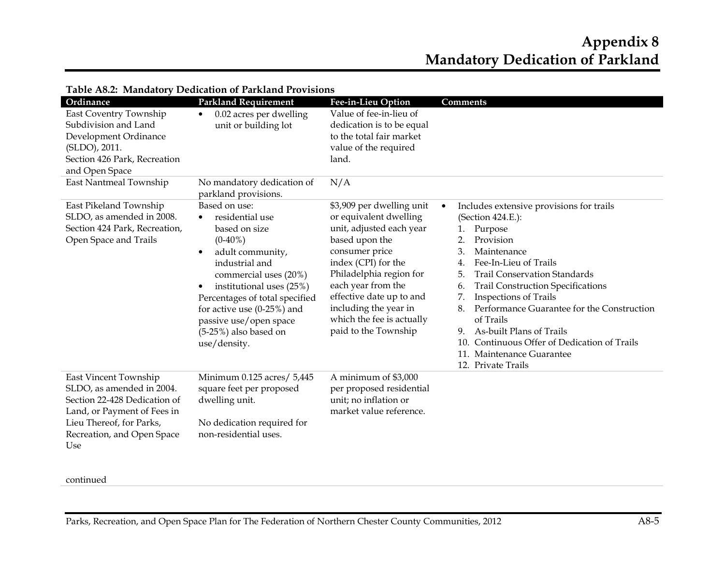#### **Appendix 8 Mandatory Dedication of Parkland**

| Ordinance<br>East Coventry Township<br>Subdivision and Land<br>Development Ordinance<br>(SLDO), 2011.<br>Section 426 Park, Recreation<br>and Open Space                            | <b>Parkland Requirement</b><br>0.02 acres per dwelling<br>$\bullet$<br>unit or building lot                                                                                                                                                                                                                                      | Fee-in-Lieu Option<br>Value of fee-in-lieu of<br>dedication is to be equal<br>to the total fair market<br>value of the required<br>land.                                                                                                                                                              | Comments                                                                                                                                                                                                                                                                                                                                                                                                                                                                                                                                     |
|------------------------------------------------------------------------------------------------------------------------------------------------------------------------------------|----------------------------------------------------------------------------------------------------------------------------------------------------------------------------------------------------------------------------------------------------------------------------------------------------------------------------------|-------------------------------------------------------------------------------------------------------------------------------------------------------------------------------------------------------------------------------------------------------------------------------------------------------|----------------------------------------------------------------------------------------------------------------------------------------------------------------------------------------------------------------------------------------------------------------------------------------------------------------------------------------------------------------------------------------------------------------------------------------------------------------------------------------------------------------------------------------------|
| East Nantmeal Township                                                                                                                                                             | No mandatory dedication of<br>parkland provisions.                                                                                                                                                                                                                                                                               | N/A                                                                                                                                                                                                                                                                                                   |                                                                                                                                                                                                                                                                                                                                                                                                                                                                                                                                              |
| East Pikeland Township<br>SLDO, as amended in 2008.<br>Section 424 Park, Recreation,<br>Open Space and Trails                                                                      | Based on use:<br>residential use<br>٠<br>based on size<br>$(0-40\%)$<br>adult community,<br>$\bullet$<br>industrial and<br>commercial uses (20%)<br>institutional uses (25%)<br>$\bullet$<br>Percentages of total specified<br>for active use $(0-25%)$ and<br>passive use/open space<br>$(5-25%)$ also based on<br>use/density. | \$3,909 per dwelling unit<br>or equivalent dwelling<br>unit, adjusted each year<br>based upon the<br>consumer price<br>index (CPI) for the<br>Philadelphia region for<br>each year from the<br>effective date up to and<br>including the year in<br>which the fee is actually<br>paid to the Township | Includes extensive provisions for trails<br>$\bullet$<br>(Section 424.E.):<br>Purpose<br>1.<br>Provision<br>$\overline{2}$ .<br>3.<br>Maintenance<br>Fee-In-Lieu of Trails<br>$\overline{4}$ .<br><b>Trail Conservation Standards</b><br>5.<br><b>Trail Construction Specifications</b><br>6.<br>7.<br><b>Inspections of Trails</b><br>Performance Guarantee for the Construction<br>8.<br>of Trails<br>As-built Plans of Trails<br>9.<br>Continuous Offer of Dedication of Trails<br>10.<br>11. Maintenance Guarantee<br>12. Private Trails |
| East Vincent Township<br>SLDO, as amended in 2004.<br>Section 22-428 Dedication of<br>Land, or Payment of Fees in<br>Lieu Thereof, for Parks,<br>Recreation, and Open Space<br>Use | Minimum 0.125 acres/ 5,445<br>square feet per proposed<br>dwelling unit.<br>No dedication required for<br>non-residential uses.                                                                                                                                                                                                  | A minimum of \$3,000<br>per proposed residential<br>unit; no inflation or<br>market value reference.                                                                                                                                                                                                  |                                                                                                                                                                                                                                                                                                                                                                                                                                                                                                                                              |

#### **Table A8.2: Mandatory Dedication of Parkland Provisions**

#### continued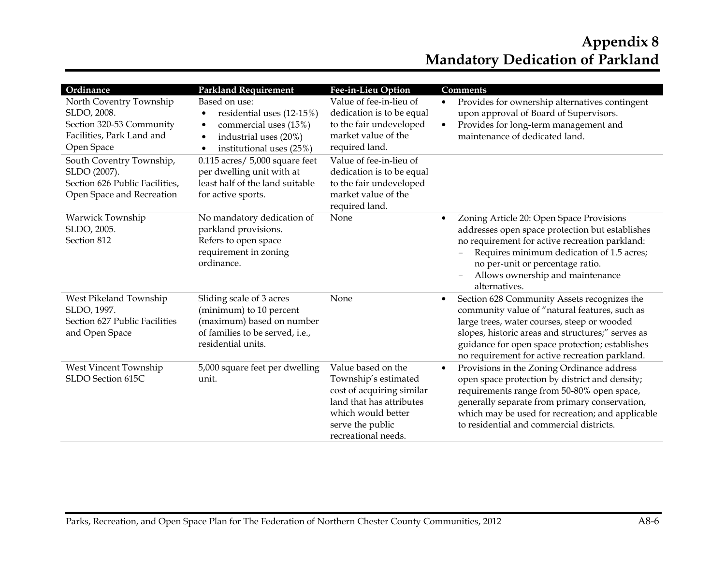#### **Appendix 8 Mandatory Dedication of Parkland**

| Ordinance                                                                                                     | <b>Parkland Requirement</b>                                                                                                                                     | Fee-in-Lieu Option                                                                                                                                                   | Comments                                                                                                                                                                                                                                                                                                           |
|---------------------------------------------------------------------------------------------------------------|-----------------------------------------------------------------------------------------------------------------------------------------------------------------|----------------------------------------------------------------------------------------------------------------------------------------------------------------------|--------------------------------------------------------------------------------------------------------------------------------------------------------------------------------------------------------------------------------------------------------------------------------------------------------------------|
| North Coventry Township<br>SLDO, 2008.<br>Section 320-53 Community<br>Facilities, Park Land and<br>Open Space | Based on use:<br>residential uses (12-15%)<br>$\bullet$<br>commercial uses (15%)<br>$\bullet$<br>industrial uses (20%)<br>$\bullet$<br>institutional uses (25%) | Value of fee-in-lieu of<br>dedication is to be equal<br>to the fair undeveloped<br>market value of the<br>required land.                                             | Provides for ownership alternatives contingent<br>$\bullet$<br>upon approval of Board of Supervisors.<br>Provides for long-term management and<br>$\bullet$<br>maintenance of dedicated land.                                                                                                                      |
| South Coventry Township,<br>SLDO (2007).<br>Section 626 Public Facilities,<br>Open Space and Recreation       | $0.115$ acres/ 5,000 square feet<br>per dwelling unit with at<br>least half of the land suitable<br>for active sports.                                          | Value of fee-in-lieu of<br>dedication is to be equal<br>to the fair undeveloped<br>market value of the<br>required land.                                             |                                                                                                                                                                                                                                                                                                                    |
| Warwick Township<br>SLDO, 2005.<br>Section 812                                                                | No mandatory dedication of<br>parkland provisions.<br>Refers to open space<br>requirement in zoning<br>ordinance.                                               | None                                                                                                                                                                 | Zoning Article 20: Open Space Provisions<br>$\bullet$<br>addresses open space protection but establishes<br>no requirement for active recreation parkland:<br>Requires minimum dedication of 1.5 acres;<br>no per-unit or percentage ratio.<br>Allows ownership and maintenance<br>$\equiv$<br>alternatives.       |
| West Pikeland Township<br>SLDO, 1997.<br>Section 627 Public Facilities<br>and Open Space                      | Sliding scale of 3 acres<br>(minimum) to 10 percent<br>(maximum) based on number<br>of families to be served, i.e.,<br>residential units.                       | None                                                                                                                                                                 | Section 628 Community Assets recognizes the<br>$\bullet$<br>community value of "natural features, such as<br>large trees, water courses, steep or wooded<br>slopes, historic areas and structures;" serves as<br>guidance for open space protection; establishes<br>no requirement for active recreation parkland. |
| West Vincent Township<br>SLDO Section 615C                                                                    | 5,000 square feet per dwelling<br>unit.                                                                                                                         | Value based on the<br>Township's estimated<br>cost of acquiring similar<br>land that has attributes<br>which would better<br>serve the public<br>recreational needs. | Provisions in the Zoning Ordinance address<br>$\bullet$<br>open space protection by district and density;<br>requirements range from 50-80% open space,<br>generally separate from primary conservation,<br>which may be used for recreation; and applicable<br>to residential and commercial districts.           |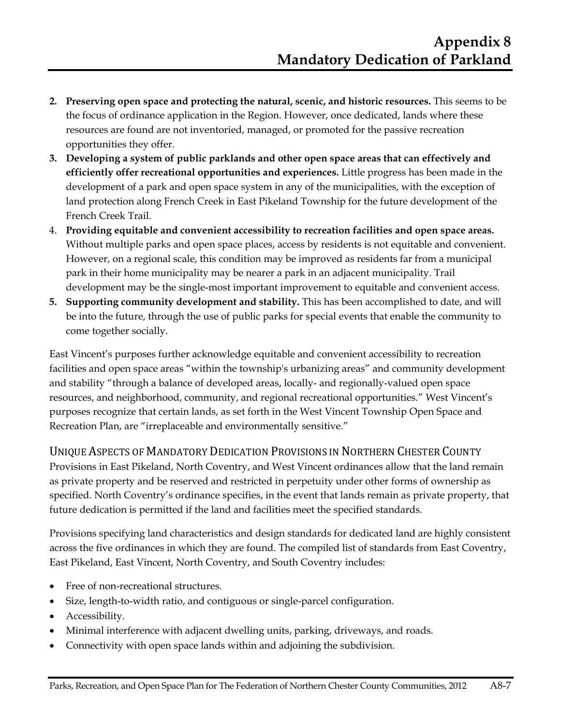- **2. Preserving open space and protecting the natural, scenic, and historic resources.** This seems to be the focus of ordinance application in the Region. However, once dedicated, lands where these resources are found are not inventoried, managed, or promoted for the passive recreation opportunities they offer.
- **3. Developing a system of public parklands and other open space areas that can effectively and efficiently offer recreational opportunities and experiences.** Little progress has been made in the development of a park and open space system in any of the municipalities, with the exception of land protection along French Creek in East Pikeland Township for the future development of the French Creek Trail.
- 4. **Providing equitable and convenient accessibility to recreation facilities and open space areas.**  Without multiple parks and open space places, access by residents is not equitable and convenient. However, on a regional scale, this condition may be improved as residents far from a municipal park in their home municipality may be nearer a park in an adjacent municipality. Trail development may be the single-most important improvement to equitable and convenient access.
- **5. Supporting community development and stability.** This has been accomplished to date, and will be into the future, through the use of public parks for special events that enable the community to come together socially.

East Vincent's purposes further acknowledge equitable and convenient accessibility to recreation facilities and open space areas "within the township's urbanizing areas" and community development and stability "through a balance of developed areas, locally- and regionally-valued open space resources, and neighborhood, community, and regional recreational opportunities." West Vincent's purposes recognize that certain lands, as set forth in the West Vincent Township Open Space and Recreation Plan, are "irreplaceable and environmentally sensitive."

UNIQUE ASPECTS OF MANDATORY DEDICATION PROVISIONS IN NORTHERN CHESTER COUNTY Provisions in East Pikeland, North Coventry, and West Vincent ordinances allow that the land remain as private property and be reserved and restricted in perpetuity under other forms of ownership as specified. North Coventry's ordinance specifies, in the event that lands remain as private property, that future dedication is permitted if the land and facilities meet the specified standards.

Provisions specifying land characteristics and design standards for dedicated land are highly consistent across the five ordinances in which they are found. The compiled list of standards from East Coventry, East Pikeland, East Vincent, North Coventry, and South Coventry includes:

- Free of non-recreational structures.
- Size, length-to-width ratio, and contiguous or single-parcel configuration.
- Accessibility.
- Minimal interference with adjacent dwelling units, parking, driveways, and roads.
- Connectivity with open space lands within and adjoining the subdivision.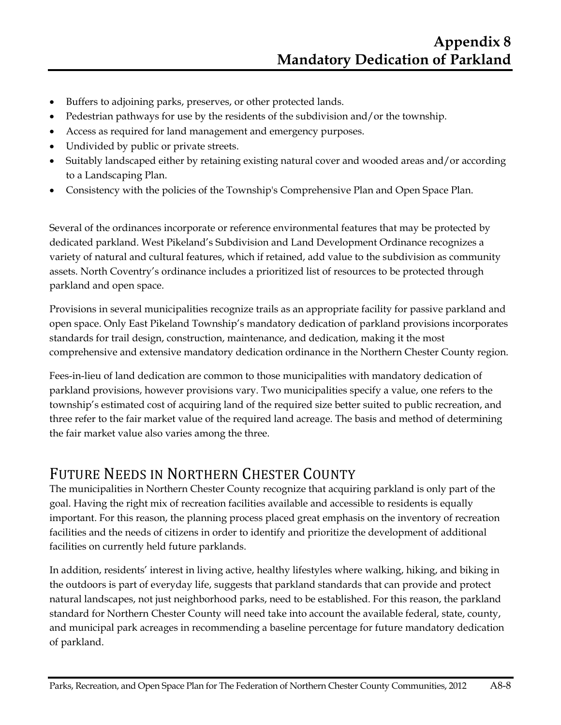- Buffers to adjoining parks, preserves, or other protected lands.
- Pedestrian pathways for use by the residents of the subdivision and/or the township.
- Access as required for land management and emergency purposes.
- Undivided by public or private streets.
- Suitably landscaped either by retaining existing natural cover and wooded areas and/or according to a Landscaping Plan.
- Consistency with the policies of the Township's Comprehensive Plan and Open Space Plan.

Several of the ordinances incorporate or reference environmental features that may be protected by dedicated parkland. West Pikeland's Subdivision and Land Development Ordinance recognizes a variety of natural and cultural features, which if retained, add value to the subdivision as community assets. North Coventry's ordinance includes a prioritized list of resources to be protected through parkland and open space.

Provisions in several municipalities recognize trails as an appropriate facility for passive parkland and open space. Only East Pikeland Township's mandatory dedication of parkland provisions incorporates standards for trail design, construction, maintenance, and dedication, making it the most comprehensive and extensive mandatory dedication ordinance in the Northern Chester County region.

Fees-in-lieu of land dedication are common to those municipalities with mandatory dedication of parkland provisions, however provisions vary. Two municipalities specify a value, one refers to the township's estimated cost of acquiring land of the required size better suited to public recreation, and three refer to the fair market value of the required land acreage. The basis and method of determining the fair market value also varies among the three.

## FUTURE NEEDS IN NORTHERN CHESTER COUNTY

The municipalities in Northern Chester County recognize that acquiring parkland is only part of the goal. Having the right mix of recreation facilities available and accessible to residents is equally important. For this reason, the planning process placed great emphasis on the inventory of recreation facilities and the needs of citizens in order to identify and prioritize the development of additional facilities on currently held future parklands.

In addition, residents' interest in living active, healthy lifestyles where walking, hiking, and biking in the outdoors is part of everyday life, suggests that parkland standards that can provide and protect natural landscapes, not just neighborhood parks, need to be established. For this reason, the parkland standard for Northern Chester County will need take into account the available federal, state, county, and municipal park acreages in recommending a baseline percentage for future mandatory dedication of parkland.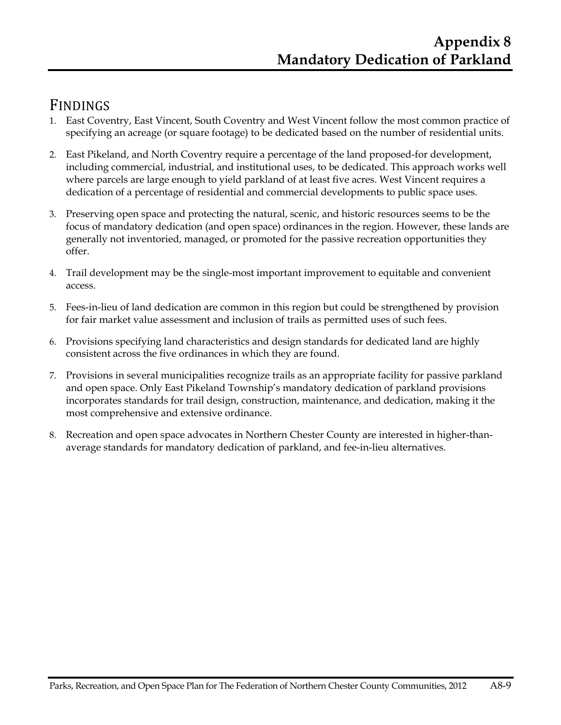#### FINDINGS

- 1. East Coventry, East Vincent, South Coventry and West Vincent follow the most common practice of specifying an acreage (or square footage) to be dedicated based on the number of residential units.
- 2. East Pikeland, and North Coventry require a percentage of the land proposed-for development, including commercial, industrial, and institutional uses, to be dedicated. This approach works well where parcels are large enough to yield parkland of at least five acres. West Vincent requires a dedication of a percentage of residential and commercial developments to public space uses.
- 3. Preserving open space and protecting the natural, scenic, and historic resources seems to be the focus of mandatory dedication (and open space) ordinances in the region. However, these lands are generally not inventoried, managed, or promoted for the passive recreation opportunities they offer.
- 4. Trail development may be the single-most important improvement to equitable and convenient access.
- 5. Fees-in-lieu of land dedication are common in this region but could be strengthened by provision for fair market value assessment and inclusion of trails as permitted uses of such fees.
- 6. Provisions specifying land characteristics and design standards for dedicated land are highly consistent across the five ordinances in which they are found.
- 7. Provisions in several municipalities recognize trails as an appropriate facility for passive parkland and open space. Only East Pikeland Township's mandatory dedication of parkland provisions incorporates standards for trail design, construction, maintenance, and dedication, making it the most comprehensive and extensive ordinance.
- 8. Recreation and open space advocates in Northern Chester County are interested in higher-thanaverage standards for mandatory dedication of parkland, and fee-in-lieu alternatives.